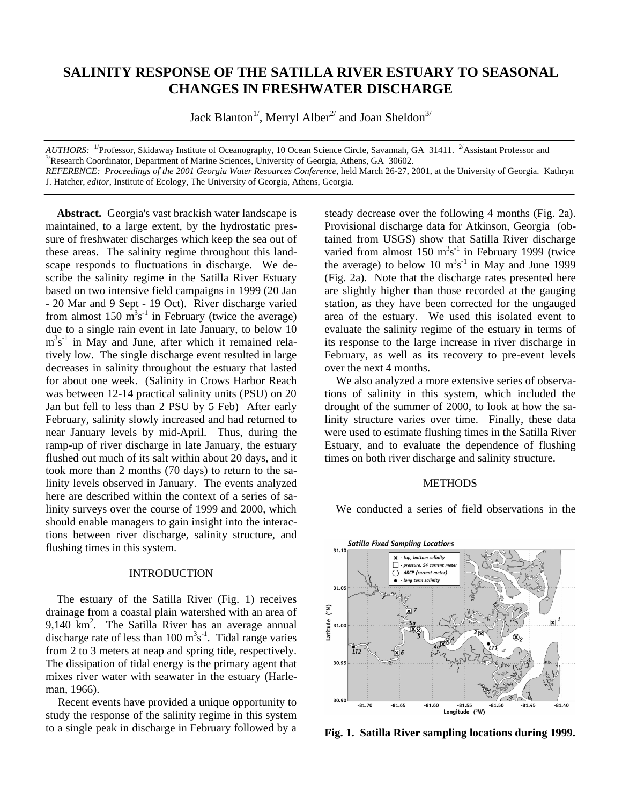# **SALINITY RESPONSE OF THE SATILLA RIVER ESTUARY TO SEASONAL CHANGES IN FRESHWATER DISCHARGE**

Jack Blanton<sup>1/</sup>, Merryl Alber<sup>2/</sup> and Joan Sheldon<sup>3/</sup>

*AUTHORS*: <sup>1/</sup>Professor, Skidaway Institute of Oceanography, 10 Ocean Science Circle, Savannah, GA 31411. <sup>2/</sup>Assistant Professor and  $3/$ Research Coordinator, Department of Marine Sciences, University of Georgia, Athens, GA 30602. *REFERENCE: Proceedings of the 2001 Georgia Water Resources Conference,* held March 26-27, 2001, at the University of Georgia. Kathryn J. Hatcher, *editor*, Institute of Ecology, The University of Georgia, Athens, Georgia.

 **Abstract.** Georgia's vast brackish water landscape is maintained, to a large extent, by the hydrostatic pressure of freshwater discharges which keep the sea out of these areas. The salinity regime throughout this landscape responds to fluctuations in discharge. We describe the salinity regime in the Satilla River Estuary based on two intensive field campaigns in 1999 (20 Jan - 20 Mar and 9 Sept - 19 Oct). River discharge varied from almost 150  $\text{m}^3\text{s}^{-1}$  in February (twice the average) due to a single rain event in late January, to below 10 m<sup>3</sup>s<sup>-1</sup> in May and June, after which it remained relatively low. The single discharge event resulted in large decreases in salinity throughout the estuary that lasted for about one week. (Salinity in Crows Harbor Reach was between 12-14 practical salinity units (PSU) on 20 Jan but fell to less than 2 PSU by 5 Feb) After early February, salinity slowly increased and had returned to near January levels by mid-April. Thus, during the ramp-up of river discharge in late January, the estuary flushed out much of its salt within about 20 days, and it took more than 2 months (70 days) to return to the salinity levels observed in January. The events analyzed here are described within the context of a series of salinity surveys over the course of 1999 and 2000, which should enable managers to gain insight into the interactions between river discharge, salinity structure, and flushing times in this system.

# INTRODUCTION

The estuary of the Satilla River (Fig. 1) receives drainage from a coastal plain watershed with an area of 9,140 km<sup>2</sup>. The Satilla River has an average annual discharge rate of less than  $100 \text{ m}^3\text{s}^{-1}$ . Tidal range varies from 2 to 3 meters at neap and spring tide, respectively. The dissipation of tidal energy is the primary agent that mixes river water with seawater in the estuary (Harleman, 1966).

 Recent events have provided a unique opportunity to study the response of the salinity regime in this system to a single peak in discharge in February followed by a

steady decrease over the following 4 months (Fig. 2a). Provisional discharge data for Atkinson, Georgia (obtained from USGS) show that Satilla River discharge varied from almost  $150 \text{ m}^3\text{s}^{-1}$  in February 1999 (twice the average) to below 10  $m^3s^{-1}$  in May and June 1999 (Fig. 2a). Note that the discharge rates presented here are slightly higher than those recorded at the gauging station, as they have been corrected for the ungauged area of the estuary. We used this isolated event to evaluate the salinity regime of the estuary in terms of its response to the large increase in river discharge in February, as well as its recovery to pre-event levels over the next 4 months.

 We also analyzed a more extensive series of observations of salinity in this system, which included the drought of the summer of 2000, to look at how the salinity structure varies over time. Finally, these data were used to estimate flushing times in the Satilla River Estuary, and to evaluate the dependence of flushing times on both river discharge and salinity structure.

#### **METHODS**

We conducted a series of field observations in the



**Fig. 1. Satilla River sampling locations during 1999.**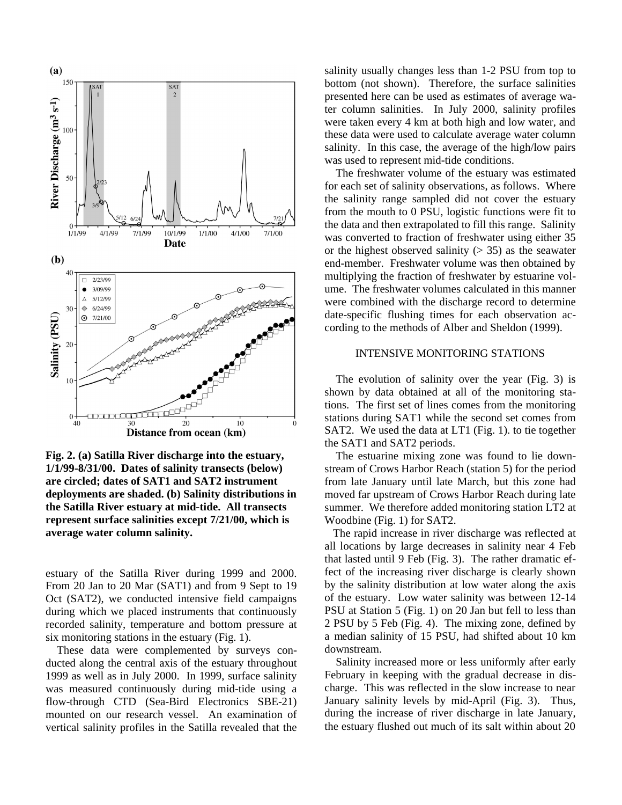

**Fig. 2. (a) Satilla River discharge into the estuary, 1/1/99-8/31/00. Dates of salinity transects (below) are circled; dates of SAT1 and SAT2 instrument deployments are shaded. (b) Salinity distributions in the Satilla River estuary at mid-tide. All transects represent surface salinities except 7/21/00, which is average water column salinity.**

estuary of the Satilla River during 1999 and 2000. From 20 Jan to 20 Mar (SAT1) and from 9 Sept to 19 Oct (SAT2), we conducted intensive field campaigns during which we placed instruments that continuously recorded salinity, temperature and bottom pressure at six monitoring stations in the estuary (Fig. 1).

These data were complemented by surveys conducted along the central axis of the estuary throughout 1999 as well as in July 2000. In 1999, surface salinity was measured continuously during mid-tide using a flow-through CTD (Sea-Bird Electronics SBE-21) mounted on our research vessel. An examination of vertical salinity profiles in the Satilla revealed that the

salinity usually changes less than 1-2 PSU from top to bottom (not shown). Therefore, the surface salinities presented here can be used as estimates of average water column salinities. In July 2000, salinity profiles were taken every 4 km at both high and low water, and these data were used to calculate average water column salinity. In this case, the average of the high/low pairs was used to represent mid-tide conditions.

 The freshwater volume of the estuary was estimated for each set of salinity observations, as follows. Where the salinity range sampled did not cover the estuary from the mouth to 0 PSU, logistic functions were fit to the data and then extrapolated to fill this range. Salinity was converted to fraction of freshwater using either 35 or the highest observed salinity  $(> 35)$  as the seawater end-member. Freshwater volume was then obtained by multiplying the fraction of freshwater by estuarine volume. The freshwater volumes calculated in this manner were combined with the discharge record to determine date-specific flushing times for each observation according to the methods of Alber and Sheldon (1999).

# INTENSIVE MONITORING STATIONS

The evolution of salinity over the year (Fig. 3) is shown by data obtained at all of the monitoring stations. The first set of lines comes from the monitoring stations during SAT1 while the second set comes from SAT2. We used the data at LT1 (Fig. 1). to tie together the SAT1 and SAT2 periods.

 The estuarine mixing zone was found to lie downstream of Crows Harbor Reach (station 5) for the period from late January until late March, but this zone had moved far upstream of Crows Harbor Reach during late summer. We therefore added monitoring station LT2 at Woodbine (Fig. 1) for SAT2.

 The rapid increase in river discharge was reflected at all locations by large decreases in salinity near 4 Feb that lasted until 9 Feb (Fig. 3). The rather dramatic effect of the increasing river discharge is clearly shown by the salinity distribution at low water along the axis of the estuary. Low water salinity was between 12-14 PSU at Station 5 (Fig. 1) on 20 Jan but fell to less than 2 PSU by 5 Feb (Fig. 4). The mixing zone, defined by a median salinity of 15 PSU, had shifted about 10 km downstream.

 Salinity increased more or less uniformly after early February in keeping with the gradual decrease in discharge. This was reflected in the slow increase to near January salinity levels by mid-April (Fig. 3). Thus, during the increase of river discharge in late January, the estuary flushed out much of its salt within about 20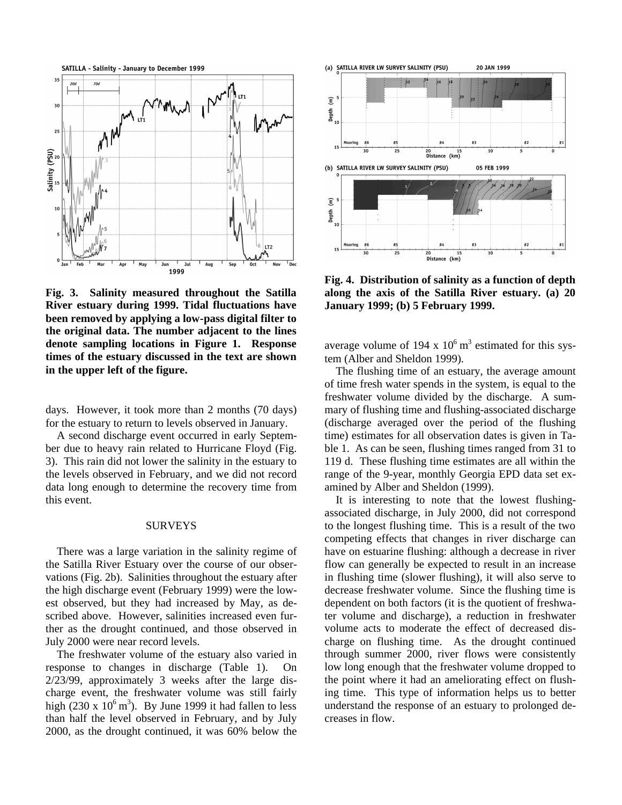

**Fig. 3. Salinity measured throughout the Satilla River estuary during 1999. Tidal fluctuations have been removed by applying a low-pass digital filter to the original data. The number adjacent to the lines denote sampling locations in Figure 1. Response times of the estuary discussed in the text are shown in the upper left of the figure.**

days. However, it took more than 2 months (70 days) for the estuary to return to levels observed in January.

 A second discharge event occurred in early September due to heavy rain related to Hurricane Floyd (Fig. 3). This rain did not lower the salinity in the estuary to the levels observed in February, and we did not record data long enough to determine the recovery time from this event.

#### SURVEYS

 There was a large variation in the salinity regime of the Satilla River Estuary over the course of our observations (Fig. 2b). Salinities throughout the estuary after the high discharge event (February 1999) were the lowest observed, but they had increased by May, as described above. However, salinities increased even further as the drought continued, and those observed in July 2000 were near record levels.

 The freshwater volume of the estuary also varied in response to changes in discharge (Table 1). On 2/23/99, approximately 3 weeks after the large discharge event, the freshwater volume was still fairly high (230 x  $10^6$  m<sup>3</sup>). By June 1999 it had fallen to less than half the level observed in February, and by July 2000, as the drought continued, it was 60% below the



**Fig. 4. Distribution of salinity as a function of depth along the axis of the Satilla River estuary. (a) 20 January 1999; (b) 5 February 1999.**

average volume of 194 x  $10^6$  m<sup>3</sup> estimated for this system (Alber and Sheldon 1999).

 The flushing time of an estuary, the average amount of time fresh water spends in the system, is equal to the freshwater volume divided by the discharge. A summary of flushing time and flushing-associated discharge (discharge averaged over the period of the flushing time) estimates for all observation dates is given in Table 1. As can be seen, flushing times ranged from 31 to 119 d. These flushing time estimates are all within the range of the 9-year, monthly Georgia EPD data set examined by Alber and Sheldon (1999).

 It is interesting to note that the lowest flushingassociated discharge, in July 2000, did not correspond to the longest flushing time. This is a result of the two competing effects that changes in river discharge can have on estuarine flushing: although a decrease in river flow can generally be expected to result in an increase in flushing time (slower flushing), it will also serve to decrease freshwater volume. Since the flushing time is dependent on both factors (it is the quotient of freshwater volume and discharge), a reduction in freshwater volume acts to moderate the effect of decreased discharge on flushing time. As the drought continued through summer 2000, river flows were consistently low long enough that the freshwater volume dropped to the point where it had an ameliorating effect on flushing time. This type of information helps us to better understand the response of an estuary to prolonged decreases in flow.